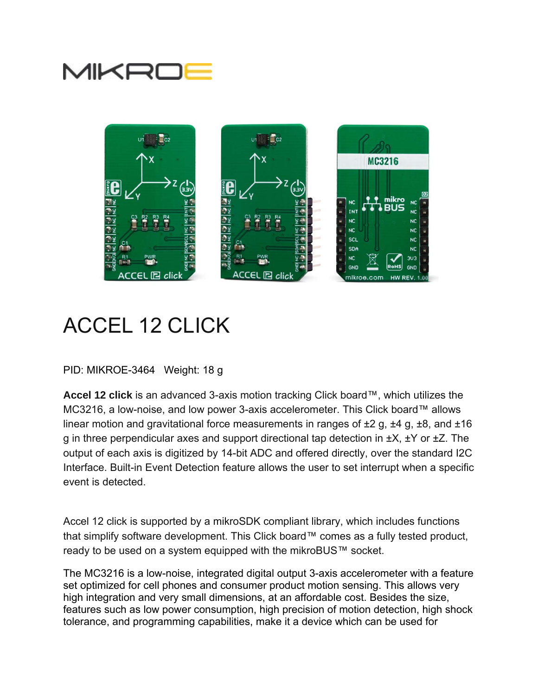



# ACCEL 12 CLICK

PID: MIKROE-3464 Weight: 18 g

**Accel 12 click** is an advanced 3-axis motion tracking Click board™, which utilizes the MC3216, a low-noise, and low power 3-axis accelerometer. This Click board™ allows linear motion and gravitational force measurements in ranges of  $\pm 2$  g,  $\pm 4$  g,  $\pm 8$ , and  $\pm 16$ g in three perpendicular axes and support directional tap detection in  $\pm X$ ,  $\pm Y$  or  $\pm Z$ . The output of each axis is digitized by 14-bit ADC and offered directly, over the standard I2C Interface. Built-in Event Detection feature allows the user to set interrupt when a specific event is detected.

Accel 12 click is supported by a mikroSDK compliant library, which includes functions that simplify software development. This Click board™ comes as a fully tested product, ready to be used on a system equipped with the mikroBUS™ socket.

The MC3216 is a low-noise, integrated digital output 3-axis accelerometer with a feature set optimized for cell phones and consumer product motion sensing. This allows very high integration and very small dimensions, at an affordable cost. Besides the size, features such as low power consumption, high precision of motion detection, high shock tolerance, and programming capabilities, make it a device which can be used for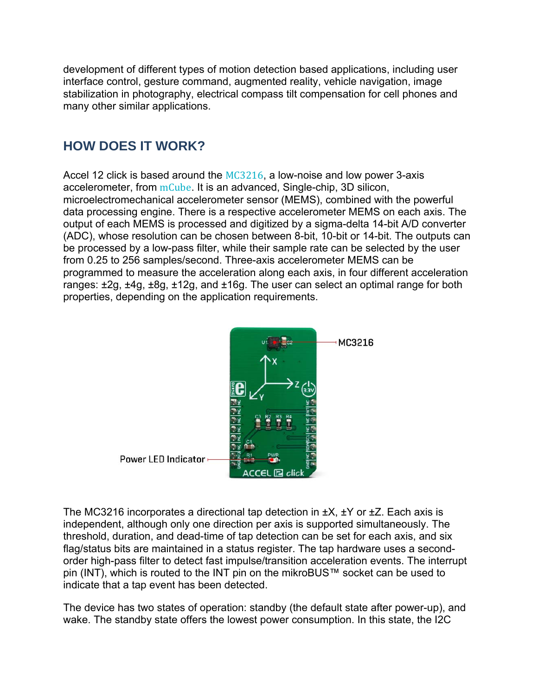development of different types of motion detection based applications, including user interface control, gesture command, augmented reality, vehicle navigation, image stabilization in photography, electrical compass tilt compensation for cell phones and many other similar applications.

## **HOW DOES IT WORK?**

Accel 12 click is based around the MC3216, a low-noise and low power 3-axis accelerometer, from  $mCube$ . It is an advanced, Single-chip, 3D silicon, microelectromechanical accelerometer sensor (MEMS), combined with the powerful data processing engine. There is a respective accelerometer MEMS on each axis. The output of each MEMS is processed and digitized by a sigma-delta 14-bit A/D converter (ADC), whose resolution can be chosen between 8-bit, 10-bit or 14-bit. The outputs can be processed by a low-pass filter, while their sample rate can be selected by the user from 0.25 to 256 samples/second. Three-axis accelerometer MEMS can be programmed to measure the acceleration along each axis, in four different acceleration ranges: ±2g, ±4g, ±8g, ±12g, and ±16g. The user can select an optimal range for both properties, depending on the application requirements.



The MC3216 incorporates a directional tap detection in  $\pm X$ ,  $\pm Y$  or  $\pm Z$ . Each axis is independent, although only one direction per axis is supported simultaneously. The threshold, duration, and dead-time of tap detection can be set for each axis, and six flag/status bits are maintained in a status register. The tap hardware uses a secondorder high-pass filter to detect fast impulse/transition acceleration events. The interrupt pin (INT), which is routed to the INT pin on the mikroBUS™ socket can be used to indicate that a tap event has been detected.

The device has two states of operation: standby (the default state after power-up), and wake. The standby state offers the lowest power consumption. In this state, the I2C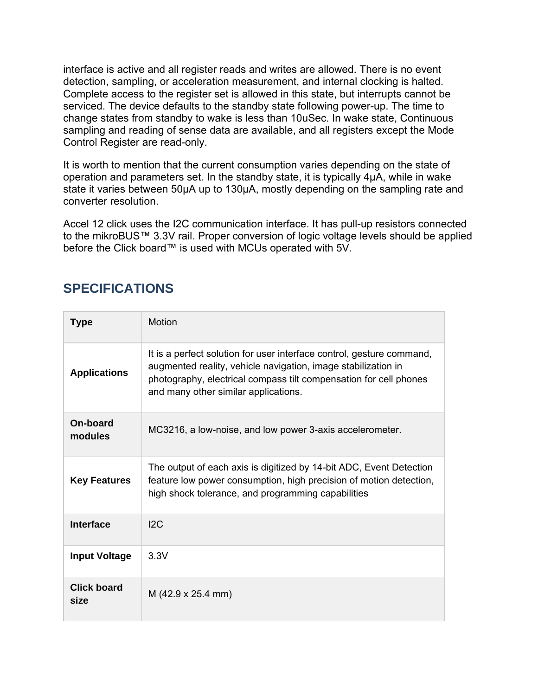interface is active and all register reads and writes are allowed. There is no event detection, sampling, or acceleration measurement, and internal clocking is halted. Complete access to the register set is allowed in this state, but interrupts cannot be serviced. The device defaults to the standby state following power-up. The time to change states from standby to wake is less than 10uSec. In wake state, Continuous sampling and reading of sense data are available, and all registers except the Mode Control Register are read-only.

It is worth to mention that the current consumption varies depending on the state of operation and parameters set. In the standby state, it is typically 4μA, while in wake state it varies between 50μA up to 130μA, mostly depending on the sampling rate and converter resolution.

Accel 12 click uses the I2C communication interface. It has pull-up resistors connected to the mikroBUS™ 3.3V rail. Proper conversion of logic voltage levels should be applied before the Click board™ is used with MCUs operated with 5V.

### **SPECIFICATIONS**

| <b>Type</b>                | Motion                                                                                                                                                                                                                                              |
|----------------------------|-----------------------------------------------------------------------------------------------------------------------------------------------------------------------------------------------------------------------------------------------------|
| <b>Applications</b>        | It is a perfect solution for user interface control, gesture command,<br>augmented reality, vehicle navigation, image stabilization in<br>photography, electrical compass tilt compensation for cell phones<br>and many other similar applications. |
| On-board<br>modules        | MC3216, a low-noise, and low power 3-axis accelerometer.                                                                                                                                                                                            |
| <b>Key Features</b>        | The output of each axis is digitized by 14-bit ADC, Event Detection<br>feature low power consumption, high precision of motion detection,<br>high shock tolerance, and programming capabilities                                                     |
| Interface                  | 12C                                                                                                                                                                                                                                                 |
| <b>Input Voltage</b>       | 3.3V                                                                                                                                                                                                                                                |
| <b>Click board</b><br>size | $M$ (42.9 x 25.4 mm)                                                                                                                                                                                                                                |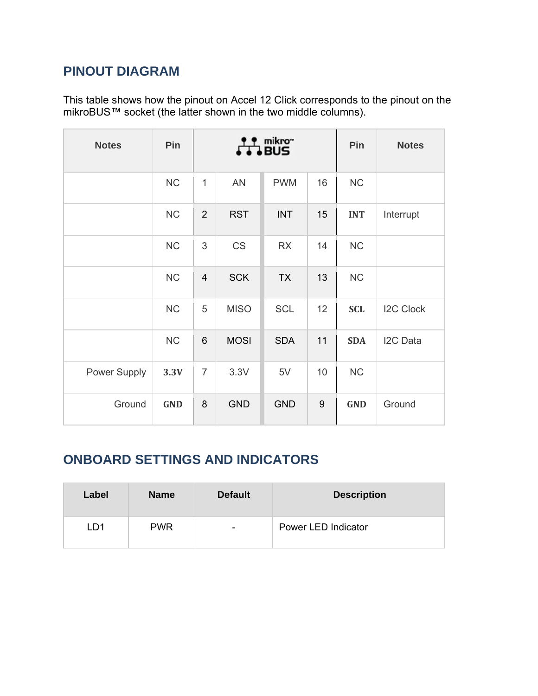## **PINOUT DIAGRAM**

This table shows how the pinout on Accel 12 Click corresponds to the pinout on the mikroBUS™ socket (the latter shown in the two middle columns).

| <b>Notes</b> | Pin        | mikro"<br>J BUS         |             |            |    | Pin        | <b>Notes</b>     |
|--------------|------------|-------------------------|-------------|------------|----|------------|------------------|
|              | NC         | $\mathbf{1}$            | <b>AN</b>   | <b>PWM</b> | 16 | <b>NC</b>  |                  |
|              | <b>NC</b>  | $\overline{2}$          | <b>RST</b>  | <b>INT</b> | 15 | <b>INT</b> | Interrupt        |
|              | <b>NC</b>  | 3                       | <b>CS</b>   | <b>RX</b>  | 14 | <b>NC</b>  |                  |
|              | <b>NC</b>  | $\overline{\mathbf{4}}$ | <b>SCK</b>  | <b>TX</b>  | 13 | <b>NC</b>  |                  |
|              | NC         | 5                       | <b>MISO</b> | <b>SCL</b> | 12 | <b>SCL</b> | <b>I2C Clock</b> |
|              | <b>NC</b>  | 6                       | <b>MOSI</b> | <b>SDA</b> | 11 | <b>SDA</b> | I2C Data         |
| Power Supply | 3.3V       | $\overline{7}$          | 3.3V        | 5V         | 10 | <b>NC</b>  |                  |
| Ground       | <b>GND</b> | 8                       | <b>GND</b>  | <b>GND</b> | 9  | <b>GND</b> | Ground           |

## **ONBOARD SETTINGS AND INDICATORS**

| Label | <b>Name</b> | <b>Default</b> | <b>Description</b>  |
|-------|-------------|----------------|---------------------|
| LD1   | <b>PWR</b>  | ۰              | Power LED Indicator |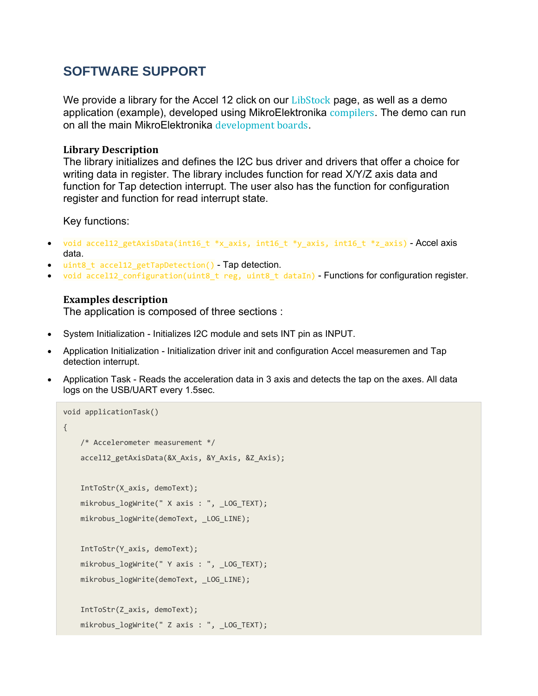#### **SOFTWARE SUPPORT**

We provide a library for the Accel 12 click on our LibStock page, as well as a demo application (example), developed using MikroElektronika compilers. The demo can run on all the main MikroElektronika development boards.

#### **Library Description**

The library initializes and defines the I2C bus driver and drivers that offer a choice for writing data in register. The library includes function for read X/Y/Z axis data and function for Tap detection interrupt. The user also has the function for configuration register and function for read interrupt state.

Key functions:

- void accel12 getAxisData(int16 t \*x axis, int16 t \*y axis, int16 t \*z axis) Accel axis data.
- uint8\_t accel12\_getTapDetection() Tap detection.
- void accel12\_configuration(uint8\_t reg, uint8\_t dataIn) Functions for configuration register.

#### **Examples description**

The application is composed of three sections :

- System Initialization Initializes I2C module and sets INT pin as INPUT.
- Application Initialization Initialization driver init and configuration Accel measuremen and Tap detection interrupt.
- Application Task Reads the acceleration data in 3 axis and detects the tap on the axes. All data logs on the USB/UART every 1.5sec.

```
void applicationTask()
{
        /* Accelerometer measurement */
    accel12 getAxisData(&X Axis, &Y Axis, &Z Axis);
        IntToStr(X_axis, demoText);
        mikrobus_logWrite(" X axis : ", _LOG_TEXT);
        mikrobus_logWrite(demoText, _LOG_LINE);
        IntToStr(Y_axis, demoText);
        mikrobus_logWrite(" Y axis : ", _LOG_TEXT);
        mikrobus_logWrite(demoText, _LOG_LINE);
        IntToStr(Z_axis, demoText);
        mikrobus_logWrite(" Z axis : ", _LOG_TEXT);
```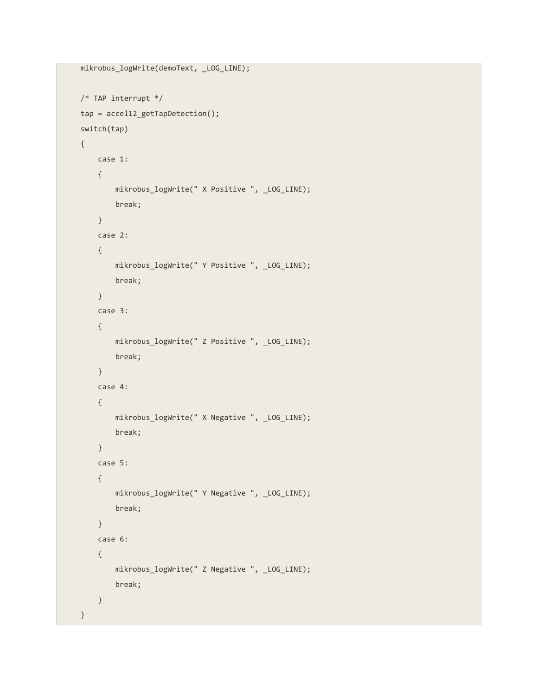```
    mikrobus_logWrite(demoText, _LOG_LINE);
    /* TAP interrupt */
    tap = accel12_getTapDetection();
    switch(tap)
    {
              case 1:
              {
             mikrobus logWrite(" X Positive ", LOG LINE);
                       break;
              }
              case 2:
              {
                         mikrobus_logWrite(" Y Positive ", _LOG_LINE);
                        break;
              }
              case 3:
              {
                        mikrobus_logWrite(" Z Positive ", _LOG_LINE);
                        break;
              }
              case 4:
              {
                         mikrobus_logWrite(" X Negative ", _LOG_LINE);
                        break;
              }
              case 5:
              {
                         mikrobus_logWrite(" Y Negative ", _LOG_LINE);
                        break;
              }
              case 6:
              {
                         mikrobus_logWrite(" Z Negative ", _LOG_LINE);
                         break;
              }
    }
```